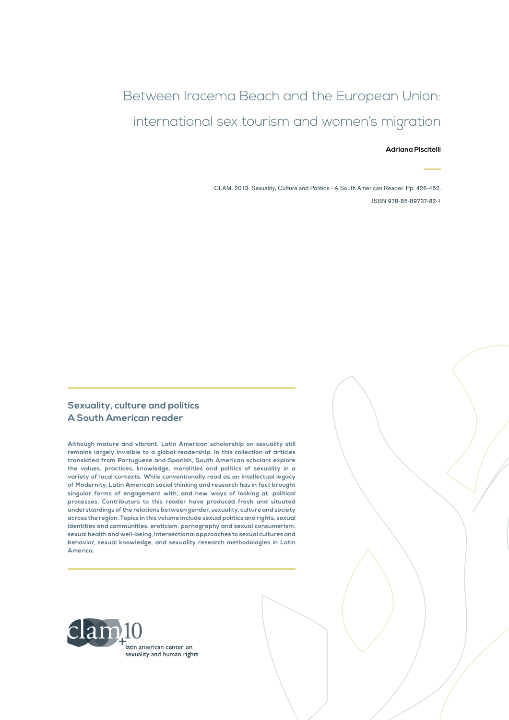## Between Iracema Beach and the European Union: international sex tourism and women's migration

#### **Adriana Piscitelli**

CLAM. 2013. Sexuality, Culture and Politics - A South American Reader. Pp. 426-452. ISBN 978-85-89737-82-1

#### **Sexuality, culture and politics A South American reader**

**Although mature and vibrant, Latin American scholarship on sexuality still remains largely invisible to a global readership. In this collection of articles translated from Portuguese and Spanish, South American scholars explore the values, practices, knowledge, moralities and politics of sexuality in a variety of local contexts. While conventionally read as an intellectual legacy of Modernity, Latin American social thinking and research has in fact brought singular forms of engagement with, and new ways of looking at, political processes. Contributors to this reader have produced fresh and situated understandings of the relations between gender, sexuality, culture and society across the region. Topics in this volume include sexual politics and rights, sexual identities and communities, eroticism, pornography and sexual consumerism, sexual health and well-being, intersectional approaches to sexual cultures and behavior, sexual knowledge, and sexuality research methodologies in Latin America.**

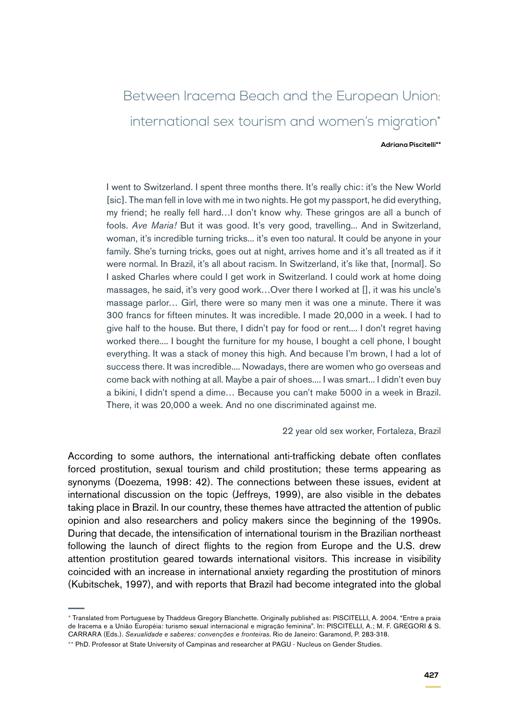# Between Iracema Beach and the European Union: international sex tourism and women's migration\*

#### **Adriana Piscitelli\*\***

I went to Switzerland. I spent three months there. It's really chic: it's the New World [sic]. The man fell in love with me in two nights. He got my passport, he did everything, my friend; he really fell hard…I don't know why. These gringos are all a bunch of fools. *Ave Maria!* But it was good. It's very good, travelling... And in Switzerland, woman, it's incredible turning tricks... it's even too natural. It could be anyone in your family. She's turning tricks, goes out at night, arrives home and it's all treated as if it were normal. In Brazil, it's all about racism. In Switzerland, it's like that, [normal]. So I asked Charles where could I get work in Switzerland. I could work at home doing massages, he said, it's very good work…Over there I worked at [], it was his uncle's massage parlor… Girl, there were so many men it was one a minute. There it was 300 francs for fifteen minutes. It was incredible. I made 20,000 in a week. I had to give half to the house. But there, I didn't pay for food or rent.... I don't regret having worked there.... I bought the furniture for my house, I bought a cell phone, I bought everything. It was a stack of money this high. And because I'm brown, I had a lot of success there. It was incredible.... Nowadays, there are women who go overseas and come back with nothing at all. Maybe a pair of shoes.... I was smart... I didn't even buy a bikini, I didn't spend a dime… Because you can't make 5000 in a week in Brazil. There, it was 20,000 a week. And no one discriminated against me.

22 year old sex worker, Fortaleza, Brazil

According to some authors, the international anti-trafficking debate often conflates forced prostitution, sexual tourism and child prostitution; these terms appearing as synonyms (Doezema, 1998: 42). The connections between these issues, evident at international discussion on the topic (Jeffreys, 1999), are also visible in the debates taking place in Brazil. In our country, these themes have attracted the attention of public opinion and also researchers and policy makers since the beginning of the 1990s. During that decade, the intensification of international tourism in the Brazilian northeast following the launch of direct flights to the region from Europe and the U.S. drew attention prostitution geared towards international visitors. This increase in visibility coincided with an increase in international anxiety regarding the prostitution of minors (Kubitschek, 1997), and with reports that Brazil had become integrated into the global

<sup>\*</sup> Translated from Portuguese by Thaddeus Gregory Blanchette. Originally published as: PISCITELLI, A. 2004. "Entre a praia de Iracema e a União Européia: turismo sexual internacional e migração feminina". In: PISCITELLI, A.; M. F. GREGORI & S. CARRARA (Eds.). *Sexualidade e saberes: convenções e fronteiras*. Rio de Janeiro: Garamond, P. 283-318.

<sup>\*\*</sup> PhD. Professor at State University of Campinas and researcher at PAGU - Nucleus on Gender Studies.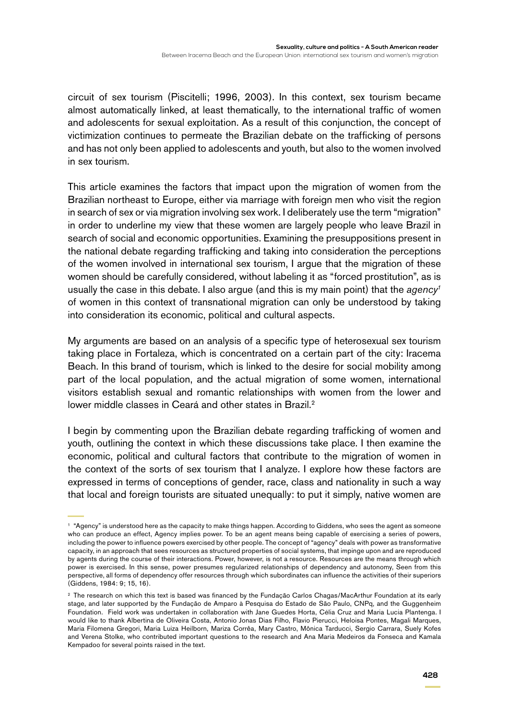circuit of sex tourism (Piscitelli; 1996, 2003). In this context, sex tourism became almost automatically linked, at least thematically, to the international traffic of women and adolescents for sexual exploitation. As a result of this conjunction, the concept of victimization continues to permeate the Brazilian debate on the trafficking of persons and has not only been applied to adolescents and youth, but also to the women involved in sex tourism.

This article examines the factors that impact upon the migration of women from the Brazilian northeast to Europe, either via marriage with foreign men who visit the region in search of sex or via migration involving sex work. I deliberately use the term "migration" in order to underline my view that these women are largely people who leave Brazil in search of social and economic opportunities. Examining the presuppositions present in the national debate regarding trafficking and taking into consideration the perceptions of the women involved in international sex tourism, I argue that the migration of these women should be carefully considered, without labeling it as "forced prostitution", as is usually the case in this debate. I also argue (and this is my main point) that the *agency1* of women in this context of transnational migration can only be understood by taking into consideration its economic, political and cultural aspects.

My arguments are based on an analysis of a specific type of heterosexual sex tourism taking place in Fortaleza, which is concentrated on a certain part of the city: Iracema Beach. In this brand of tourism, which is linked to the desire for social mobility among part of the local population, and the actual migration of some women, international visitors establish sexual and romantic relationships with women from the lower and lower middle classes in Ceará and other states in Brazil.<sup>2</sup>

I begin by commenting upon the Brazilian debate regarding trafficking of women and youth, outlining the context in which these discussions take place. I then examine the economic, political and cultural factors that contribute to the migration of women in the context of the sorts of sex tourism that I analyze. I explore how these factors are expressed in terms of conceptions of gender, race, class and nationality in such a way that local and foreign tourists are situated unequally: to put it simply, native women are

<sup>1</sup> "Agency" is understood here as the capacity to make things happen. According to Giddens, who sees the agent as someone who can produce an effect, Agency implies power. To be an agent means being capable of exercising a series of powers, including the power to influence powers exercised by other people. The concept of "agency" deals with power as transformative capacity, in an approach that sees resources as structured properties of social systems, that impinge upon and are reproduced by agents during the course of their interactions. Power, however, is not a resource. Resources are the means through which power is exercised. In this sense, power presumes regularized relationships of dependency and autonomy, Seen from this perspective, all forms of dependency offer resources through which subordinates can influence the activities of their superiors (Giddens, 1984: 9; 15, 16).

<sup>&</sup>lt;sup>2</sup> The research on which this text is based was financed by the Fundação Carlos Chagas/MacArthur Foundation at its early stage, and later supported by the Fundação de Amparo à Pesquisa do Estado de São Paulo, CNPq, and the Guggenheim Foundation. Field work was undertaken in collaboration with Jane Guedes Horta, Célia Cruz and Maria Lucia Plantenga. I would like to thank Albertina de Oliveira Costa, Antonio Jonas Dias Filho, Flavio Pierucci, Heloisa Pontes, Magali Marques, Maria Filomena Gregori, Maria Luiza Heilborn, Mariza Corrêa, Mary Castro, Mônica Tarducci, Sergio Carrara, Suely Kofes and Verena Stolke, who contributed important questions to the research and Ana Maria Medeiros da Fonseca and Kamala Kempadoo for several points raised in the text.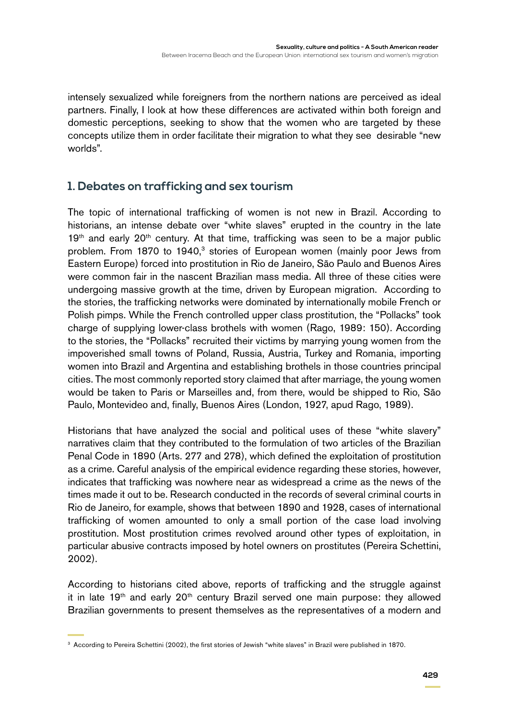intensely sexualized while foreigners from the northern nations are perceived as ideal partners. Finally, I look at how these differences are activated within both foreign and domestic perceptions, seeking to show that the women who are targeted by these concepts utilize them in order facilitate their migration to what they see desirable "new worlds".

### **1. Debates on trafficking and sex tourism**

The topic of international trafficking of women is not new in Brazil. According to historians, an intense debate over "white slaves" erupted in the country in the late  $19<sup>th</sup>$  and early  $20<sup>th</sup>$  century. At that time, trafficking was seen to be a major public problem. From 1870 to 1940,<sup>3</sup> stories of European women (mainly poor Jews from Eastern Europe) forced into prostitution in Rio de Janeiro, São Paulo and Buenos Aires were common fair in the nascent Brazilian mass media. All three of these cities were undergoing massive growth at the time, driven by European migration. According to the stories, the trafficking networks were dominated by internationally mobile French or Polish pimps. While the French controlled upper class prostitution, the "Pollacks" took charge of supplying lower-class brothels with women (Rago, 1989: 150). According to the stories, the "Pollacks" recruited their victims by marrying young women from the impoverished small towns of Poland, Russia, Austria, Turkey and Romania, importing women into Brazil and Argentina and establishing brothels in those countries principal cities. The most commonly reported story claimed that after marriage, the young women would be taken to Paris or Marseilles and, from there, would be shipped to Rio, São Paulo, Montevideo and, finally, Buenos Aires (London, 1927, apud Rago, 1989).

Historians that have analyzed the social and political uses of these "white slavery" narratives claim that they contributed to the formulation of two articles of the Brazilian Penal Code in 1890 (Arts. 277 and 278), which defined the exploitation of prostitution as a crime. Careful analysis of the empirical evidence regarding these stories, however, indicates that trafficking was nowhere near as widespread a crime as the news of the times made it out to be. Research conducted in the records of several criminal courts in Rio de Janeiro, for example, shows that between 1890 and 1928, cases of international trafficking of women amounted to only a small portion of the case load involving prostitution. Most prostitution crimes revolved around other types of exploitation, in particular abusive contracts imposed by hotel owners on prostitutes (Pereira Schettini, 2002).

According to historians cited above, reports of trafficking and the struggle against it in late  $19<sup>th</sup>$  and early  $20<sup>th</sup>$  century Brazil served one main purpose: they allowed Brazilian governments to present themselves as the representatives of a modern and

<sup>&</sup>lt;sup>3</sup> According to Pereira Schettini (2002), the first stories of Jewish "white slaves" in Brazil were published in 1870.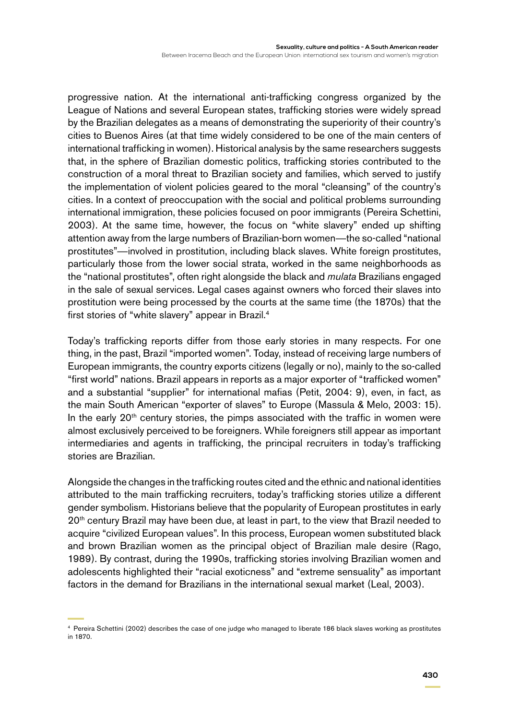Between Iracema Beach and the European Union: international sex tourism and women's migration

progressive nation. At the international anti-trafficking congress organized by the League of Nations and several European states, trafficking stories were widely spread by the Brazilian delegates as a means of demonstrating the superiority of their country's cities to Buenos Aires (at that time widely considered to be one of the main centers of international trafficking in women). Historical analysis by the same researchers suggests that, in the sphere of Brazilian domestic politics, trafficking stories contributed to the construction of a moral threat to Brazilian society and families, which served to justify the implementation of violent policies geared to the moral "cleansing" of the country's cities. In a context of preoccupation with the social and political problems surrounding international immigration, these policies focused on poor immigrants (Pereira Schettini, 2003). At the same time, however, the focus on "white slavery" ended up shifting attention away from the large numbers of Brazilian-born women—the so-called "national prostitutes"—involved in prostitution, including black slaves. White foreign prostitutes, particularly those from the lower social strata, worked in the same neighborhoods as the "national prostitutes", often right alongside the black and *mulata* Brazilians engaged in the sale of sexual services. Legal cases against owners who forced their slaves into prostitution were being processed by the courts at the same time (the 1870s) that the first stories of "white slavery" appear in Brazil.<sup>4</sup>

Today's trafficking reports differ from those early stories in many respects. For one thing, in the past, Brazil "imported women". Today, instead of receiving large numbers of European immigrants, the country exports citizens (legally or no), mainly to the so-called "first world" nations. Brazil appears in reports as a major exporter of "trafficked women" and a substantial "supplier" for international mafias (Petit, 2004: 9), even, in fact, as the main South American "exporter of slaves" to Europe (Massula & Melo, 2003: 15). In the early  $20<sup>th</sup>$  century stories, the pimps associated with the traffic in women were almost exclusively perceived to be foreigners. While foreigners still appear as important intermediaries and agents in trafficking, the principal recruiters in today's trafficking stories are Brazilian.

Alongside the changes in the trafficking routes cited and the ethnic and national identities attributed to the main trafficking recruiters, today's trafficking stories utilize a different gender symbolism. Historians believe that the popularity of European prostitutes in early 20<sup>th</sup> century Brazil may have been due, at least in part, to the view that Brazil needed to acquire "civilized European values". In this process, European women substituted black and brown Brazilian women as the principal object of Brazilian male desire (Rago, 1989). By contrast, during the 1990s, trafficking stories involving Brazilian women and adolescents highlighted their "racial exoticness" and "extreme sensuality" as important factors in the demand for Brazilians in the international sexual market (Leal, 2003).

<sup>4</sup> Pereira Schettini (2002) describes the case of one judge who managed to liberate 186 black slaves working as prostitutes in 1870.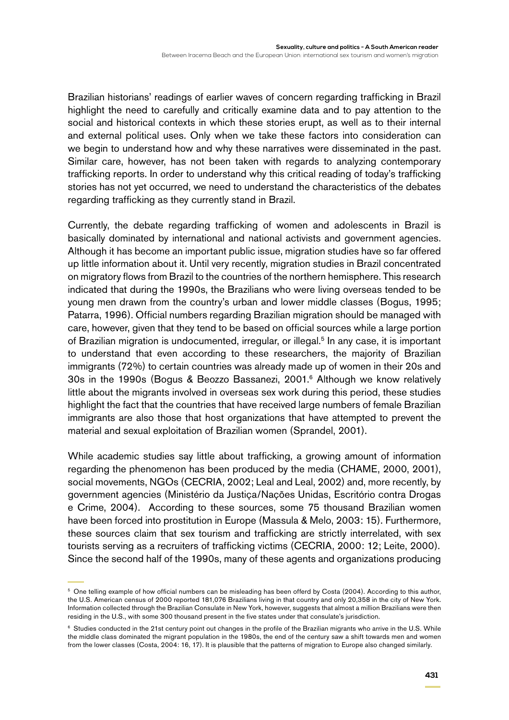Brazilian historians' readings of earlier waves of concern regarding trafficking in Brazil highlight the need to carefully and critically examine data and to pay attention to the social and historical contexts in which these stories erupt, as well as to their internal and external political uses. Only when we take these factors into consideration can we begin to understand how and why these narratives were disseminated in the past. Similar care, however, has not been taken with regards to analyzing contemporary trafficking reports. In order to understand why this critical reading of today's trafficking stories has not yet occurred, we need to understand the characteristics of the debates regarding trafficking as they currently stand in Brazil.

Currently, the debate regarding trafficking of women and adolescents in Brazil is basically dominated by international and national activists and government agencies. Although it has become an important public issue, migration studies have so far offered up little information about it. Until very recently, migration studies in Brazil concentrated on migratory flows from Brazil to the countries of the northern hemisphere. This research indicated that during the 1990s, the Brazilians who were living overseas tended to be young men drawn from the country's urban and lower middle classes (Bogus, 1995; Patarra, 1996). Official numbers regarding Brazilian migration should be managed with care, however, given that they tend to be based on official sources while a large portion of Brazilian migration is undocumented, irregular, or illegal.<sup>5</sup> In any case, it is important to understand that even according to these researchers, the majority of Brazilian immigrants (72%) to certain countries was already made up of women in their 20s and 30s in the 1990s (Bogus & Beozzo Bassanezi, 2001.6 Although we know relatively little about the migrants involved in overseas sex work during this period, these studies highlight the fact that the countries that have received large numbers of female Brazilian immigrants are also those that host organizations that have attempted to prevent the material and sexual exploitation of Brazilian women (Sprandel, 2001).

While academic studies say little about trafficking, a growing amount of information regarding the phenomenon has been produced by the media (CHAME, 2000, 2001), social movements, NGOs (CECRIA, 2002; Leal and Leal, 2002) and, more recently, by government agencies (Ministério da Justiça/Nações Unidas, Escritório contra Drogas e Crime, 2004). According to these sources, some 75 thousand Brazilian women have been forced into prostitution in Europe (Massula & Melo, 2003: 15). Furthermore, these sources claim that sex tourism and trafficking are strictly interrelated, with sex tourists serving as a recruiters of trafficking victims (CECRIA, 2000: 12; Leite, 2000). Since the second half of the 1990s, many of these agents and organizations producing

<sup>5</sup> One telling example of how official numbers can be misleading has been offerd by Costa (2004). According to this author, the U.S. American census of 2000 reported 181,076 Brazilians living in that country and only 20,358 in the city of New York. Information collected through the Brazilian Consulate in New York, however, suggests that almost a million Brazilians were then residing in the U.S., with some 300 thousand present in the five states under that consulate's jurisdiction.

<sup>&</sup>lt;sup>6</sup> Studies conducted in the 21st century point out changes in the profile of the Brazilian migrants who arrive in the U.S. While the middle class dominated the migrant population in the 1980s, the end of the century saw a shift towards men and women from the lower classes (Costa, 2004: 16, 17). It is plausible that the patterns of migration to Europe also changed similarly.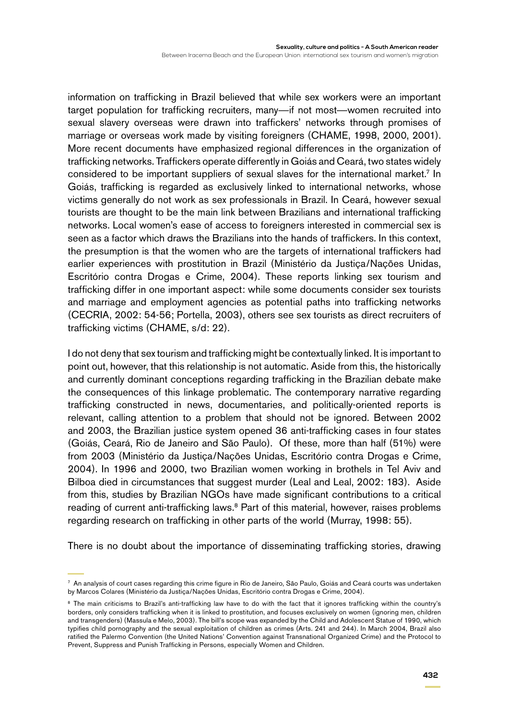information on trafficking in Brazil believed that while sex workers were an important target population for trafficking recruiters, many—if not most—women recruited into sexual slavery overseas were drawn into traffickers' networks through promises of marriage or overseas work made by visiting foreigners (CHAME, 1998, 2000, 2001). More recent documents have emphasized regional differences in the organization of trafficking networks. Traffickers operate differently in Goiás and Ceará, two states widely considered to be important suppliers of sexual slaves for the international market.<sup>7</sup> In Goiás, trafficking is regarded as exclusively linked to international networks, whose victims generally do not work as sex professionals in Brazil. In Ceará, however sexual tourists are thought to be the main link between Brazilians and international trafficking networks. Local women's ease of access to foreigners interested in commercial sex is seen as a factor which draws the Brazilians into the hands of traffickers. In this context, the presumption is that the women who are the targets of international traffickers had earlier experiences with prostitution in Brazil (Ministério da Justiça/Nações Unidas, Escritório contra Drogas e Crime, 2004). These reports linking sex tourism and trafficking differ in one important aspect: while some documents consider sex tourists and marriage and employment agencies as potential paths into trafficking networks (CECRIA, 2002: 54-56; Portella, 2003), others see sex tourists as direct recruiters of trafficking victims (CHAME, s/d: 22).

I do not deny that sex tourism and trafficking might be contextually linked. It is important to point out, however, that this relationship is not automatic. Aside from this, the historically and currently dominant conceptions regarding trafficking in the Brazilian debate make the consequences of this linkage problematic. The contemporary narrative regarding trafficking constructed in news, documentaries, and politically-oriented reports is relevant, calling attention to a problem that should not be ignored. Between 2002 and 2003, the Brazilian justice system opened 36 anti-trafficking cases in four states (Goiás, Ceará, Rio de Janeiro and São Paulo). Of these, more than half (51%) were from 2003 (Ministério da Justiça/Nações Unidas, Escritório contra Drogas e Crime, 2004). In 1996 and 2000, two Brazilian women working in brothels in Tel Aviv and Bilboa died in circumstances that suggest murder (Leal and Leal, 2002: 183). Aside from this, studies by Brazilian NGOs have made significant contributions to a critical reading of current anti-trafficking laws.<sup>8</sup> Part of this material, however, raises problems regarding research on trafficking in other parts of the world (Murray, 1998: 55).

There is no doubt about the importance of disseminating trafficking stories, drawing

<sup>7</sup> An analysis of court cases regarding this crime figure in Rio de Janeiro, São Paulo, Goiás and Ceará courts was undertaken by Marcos Colares (Ministério da Justiça/Nações Unidas, Escritório contra Drogas e Crime, 2004).

<sup>&</sup>lt;sup>8</sup> The main criticisms to Brazil's anti-trafficking law have to do with the fact that it ignores trafficking within the country's borders, only considers trafficking when it is linked to prostitution, and focuses exclusively on women (ignoring men, children and transgenders) (Massula e Melo, 2003). The bill's scope was expanded by the Child and Adolescent Statue of 1990, which typifies child pornography and the sexual exploitation of children as crimes (Arts. 241 and 244). In March 2004, Brazil also ratified the Palermo Convention (the United Nations' Convention against Transnational Organized Crime) and the Protocol to Prevent, Suppress and Punish Trafficking in Persons, especially Women and Children.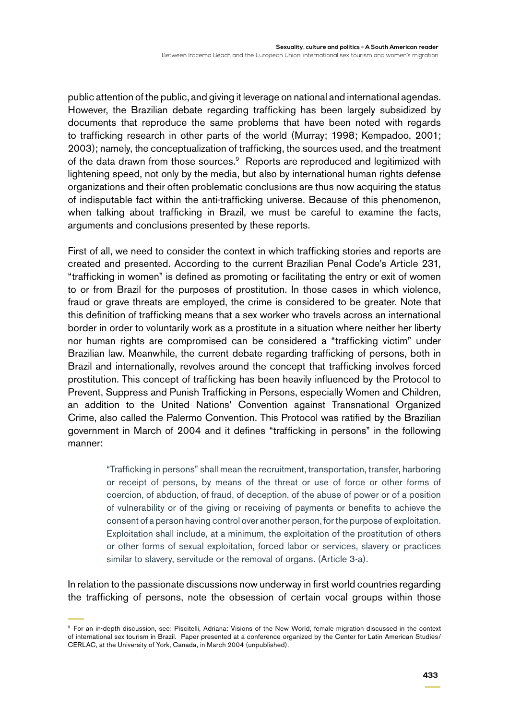public attention of the public, and giving it leverage on national and international agendas. However, the Brazilian debate regarding trafficking has been largely subsidized by documents that reproduce the same problems that have been noted with regards to trafficking research in other parts of the world (Murray; 1998; Kempadoo, 2001; 2003); namely, the conceptualization of trafficking, the sources used, and the treatment of the data drawn from those sources.<sup>9</sup> Reports are reproduced and legitimized with lightening speed, not only by the media, but also by international human rights defense organizations and their often problematic conclusions are thus now acquiring the status of indisputable fact within the anti-trafficking universe. Because of this phenomenon, when talking about trafficking in Brazil, we must be careful to examine the facts, arguments and conclusions presented by these reports.

First of all, we need to consider the context in which trafficking stories and reports are created and presented. According to the current Brazilian Penal Code's Article 231, "trafficking in women" is defined as promoting or facilitating the entry or exit of women to or from Brazil for the purposes of prostitution. In those cases in which violence, fraud or grave threats are employed, the crime is considered to be greater. Note that this definition of trafficking means that a sex worker who travels across an international border in order to voluntarily work as a prostitute in a situation where neither her liberty nor human rights are compromised can be considered a "trafficking victim" under Brazilian law. Meanwhile, the current debate regarding trafficking of persons, both in Brazil and internationally, revolves around the concept that trafficking involves forced prostitution. This concept of trafficking has been heavily influenced by the Protocol to Prevent, Suppress and Punish Trafficking in Persons, especially Women and Children, an addition to the United Nations' Convention against Transnational Organized Crime, also called the Palermo Convention. This Protocol was ratified by the Brazilian government in March of 2004 and it defines "trafficking in persons" in the following manner:

> "Trafficking in persons" shall mean the recruitment, transportation, transfer, harboring or receipt of persons, by means of the threat or use of force or other forms of coercion, of abduction, of fraud, of deception, of the abuse of power or of a position of vulnerability or of the giving or receiving of payments or benefits to achieve the consent of a person having control over another person, for the purpose of exploitation. Exploitation shall include, at a minimum, the exploitation of the prostitution of others or other forms of sexual exploitation, forced labor or services, slavery or practices similar to slavery, servitude or the removal of organs. (Article 3-a).

In relation to the passionate discussions now underway in first world countries regarding the trafficking of persons, note the obsession of certain vocal groups within those

<sup>9</sup> For an in-depth discussion, see: Piscitelli, Adriana: Visions of the New World, female migration discussed in the context of international sex tourism in Brazil. Paper presented at a conference organized by the Center for Latin American Studies/ CERLAC, at the University of York, Canada, in March 2004 (unpublished).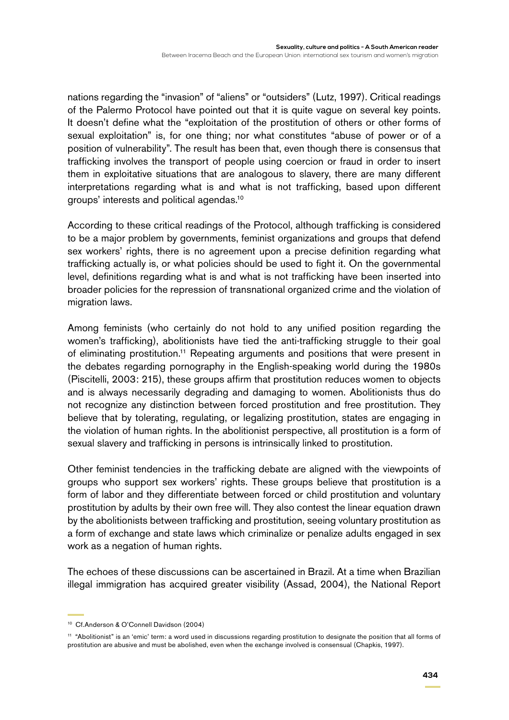nations regarding the "invasion" of "aliens" or "outsiders" (Lutz, 1997). Critical readings of the Palermo Protocol have pointed out that it is quite vague on several key points. It doesn't define what the "exploitation of the prostitution of others or other forms of sexual exploitation" is, for one thing; nor what constitutes "abuse of power or of a position of vulnerability". The result has been that, even though there is consensus that trafficking involves the transport of people using coercion or fraud in order to insert them in exploitative situations that are analogous to slavery, there are many different interpretations regarding what is and what is not trafficking, based upon different groups' interests and political agendas.10

According to these critical readings of the Protocol, although trafficking is considered to be a major problem by governments, feminist organizations and groups that defend sex workers' rights, there is no agreement upon a precise definition regarding what trafficking actually is, or what policies should be used to fight it. On the governmental level, definitions regarding what is and what is not trafficking have been inserted into broader policies for the repression of transnational organized crime and the violation of migration laws.

Among feminists (who certainly do not hold to any unified position regarding the women's trafficking), abolitionists have tied the anti-trafficking struggle to their goal of eliminating prostitution.<sup>11</sup> Repeating arguments and positions that were present in the debates regarding pornography in the English-speaking world during the 1980s (Piscitelli, 2003: 215), these groups affirm that prostitution reduces women to objects and is always necessarily degrading and damaging to women. Abolitionists thus do not recognize any distinction between forced prostitution and free prostitution. They believe that by tolerating, regulating, or legalizing prostitution, states are engaging in the violation of human rights. In the abolitionist perspective, all prostitution is a form of sexual slavery and trafficking in persons is intrinsically linked to prostitution.

Other feminist tendencies in the trafficking debate are aligned with the viewpoints of groups who support sex workers' rights. These groups believe that prostitution is a form of labor and they differentiate between forced or child prostitution and voluntary prostitution by adults by their own free will. They also contest the linear equation drawn by the abolitionists between trafficking and prostitution, seeing voluntary prostitution as a form of exchange and state laws which criminalize or penalize adults engaged in sex work as a negation of human rights.

The echoes of these discussions can be ascertained in Brazil. At a time when Brazilian illegal immigration has acquired greater visibility (Assad, 2004), the National Report

<sup>10</sup> Cf.Anderson & O'Connell Davidson (2004)

<sup>&</sup>lt;sup>11</sup> "Abolitionist" is an 'emic' term: a word used in discussions regarding prostitution to designate the position that all forms of prostitution are abusive and must be abolished, even when the exchange involved is consensual (Chapkis, 1997).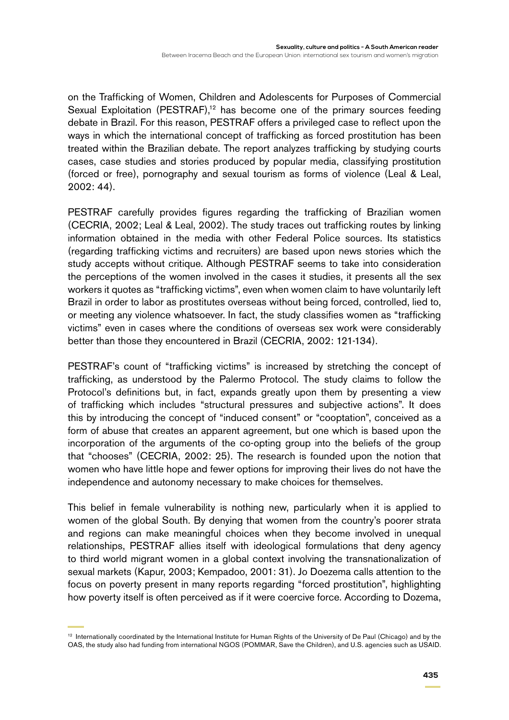on the Trafficking of Women, Children and Adolescents for Purposes of Commercial Sexual Exploitation (PESTRAF),<sup>12</sup> has become one of the primary sources feeding debate in Brazil. For this reason, PESTRAF offers a privileged case to reflect upon the ways in which the international concept of trafficking as forced prostitution has been treated within the Brazilian debate. The report analyzes trafficking by studying courts cases, case studies and stories produced by popular media, classifying prostitution (forced or free), pornography and sexual tourism as forms of violence (Leal & Leal, 2002: 44).

PESTRAF carefully provides figures regarding the trafficking of Brazilian women (CECRIA, 2002; Leal & Leal, 2002). The study traces out trafficking routes by linking information obtained in the media with other Federal Police sources. Its statistics (regarding trafficking victims and recruiters) are based upon news stories which the study accepts without critique. Although PESTRAF seems to take into consideration the perceptions of the women involved in the cases it studies, it presents all the sex workers it quotes as "trafficking victims", even when women claim to have voluntarily left Brazil in order to labor as prostitutes overseas without being forced, controlled, lied to, or meeting any violence whatsoever. In fact, the study classifies women as "trafficking victims" even in cases where the conditions of overseas sex work were considerably better than those they encountered in Brazil (CECRIA, 2002: 121-134).

PESTRAF's count of "trafficking victims" is increased by stretching the concept of trafficking, as understood by the Palermo Protocol. The study claims to follow the Protocol's definitions but, in fact, expands greatly upon them by presenting a view of trafficking which includes "structural pressures and subjective actions". It does this by introducing the concept of "induced consent" or "cooptation", conceived as a form of abuse that creates an apparent agreement, but one which is based upon the incorporation of the arguments of the co-opting group into the beliefs of the group that "chooses" (CECRIA, 2002: 25). The research is founded upon the notion that women who have little hope and fewer options for improving their lives do not have the independence and autonomy necessary to make choices for themselves.

This belief in female vulnerability is nothing new, particularly when it is applied to women of the global South. By denying that women from the country's poorer strata and regions can make meaningful choices when they become involved in unequal relationships, PESTRAF allies itself with ideological formulations that deny agency to third world migrant women in a global context involving the transnationalization of sexual markets (Kapur, 2003; Kempadoo, 2001: 31). Jo Doezema calls attention to the focus on poverty present in many reports regarding "forced prostitution", highlighting how poverty itself is often perceived as if it were coercive force. According to Dozema,

<sup>&</sup>lt;sup>12</sup> Internationally coordinated by the International Institute for Human Rights of the University of De Paul (Chicago) and by the OAS, the study also had funding from international NGOS (POMMAR, Save the Children), and U.S. agencies such as USAID.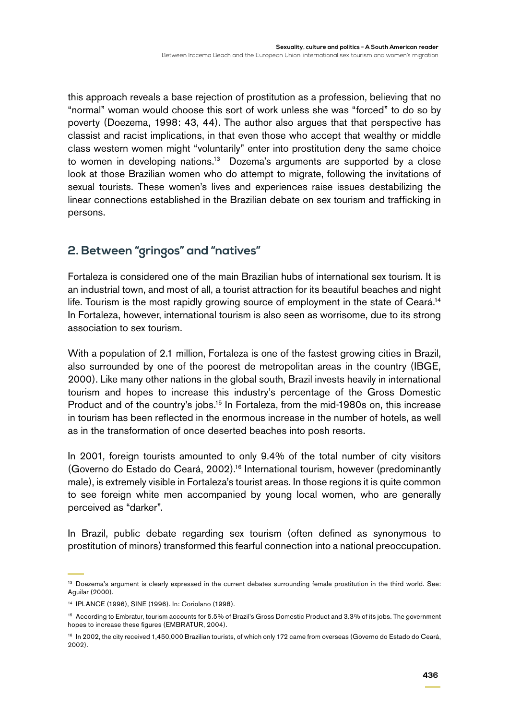this approach reveals a base rejection of prostitution as a profession, believing that no "normal" woman would choose this sort of work unless she was "forced" to do so by poverty (Doezema, 1998: 43, 44). The author also argues that that perspective has classist and racist implications, in that even those who accept that wealthy or middle class western women might "voluntarily" enter into prostitution deny the same choice to women in developing nations.13 Dozema's arguments are supported by a close look at those Brazilian women who do attempt to migrate, following the invitations of sexual tourists. These women's lives and experiences raise issues destabilizing the linear connections established in the Brazilian debate on sex tourism and trafficking in persons.

### **2. Between "gringos" and "natives"**

Fortaleza is considered one of the main Brazilian hubs of international sex tourism. It is an industrial town, and most of all, a tourist attraction for its beautiful beaches and night life. Tourism is the most rapidly growing source of employment in the state of Ceará.<sup>14</sup> In Fortaleza, however, international tourism is also seen as worrisome, due to its strong association to sex tourism.

With a population of 2.1 million, Fortaleza is one of the fastest growing cities in Brazil, also surrounded by one of the poorest de metropolitan areas in the country (IBGE, 2000). Like many other nations in the global south, Brazil invests heavily in international tourism and hopes to increase this industry's percentage of the Gross Domestic Product and of the country's jobs.<sup>15</sup> In Fortaleza, from the mid-1980s on, this increase in tourism has been reflected in the enormous increase in the number of hotels, as well as in the transformation of once deserted beaches into posh resorts.

In 2001, foreign tourists amounted to only 9.4% of the total number of city visitors (Governo do Estado do Ceará, 2002).16 International tourism, however (predominantly male), is extremely visible in Fortaleza's tourist areas. In those regions it is quite common to see foreign white men accompanied by young local women, who are generally perceived as "darker".

In Brazil, public debate regarding sex tourism (often defined as synonymous to prostitution of minors) transformed this fearful connection into a national preoccupation.

<sup>&</sup>lt;sup>13</sup> Doezema's argument is clearly expressed in the current debates surrounding female prostitution in the third world. See: Aguilar (2000).

<sup>14</sup> IPLANCE (1996), SINE (1996). In: Coriolano (1998).

<sup>15</sup> According to Embratur, tourism accounts for 5.5% of Brazil's Gross Domestic Product and 3.3% of its jobs. The government hopes to increase these figures (EMBRATUR, 2004).

<sup>&</sup>lt;sup>16</sup> In 2002, the city received 1,450,000 Brazilian tourists, of which only 172 came from overseas (Governo do Estado do Ceará, 2002).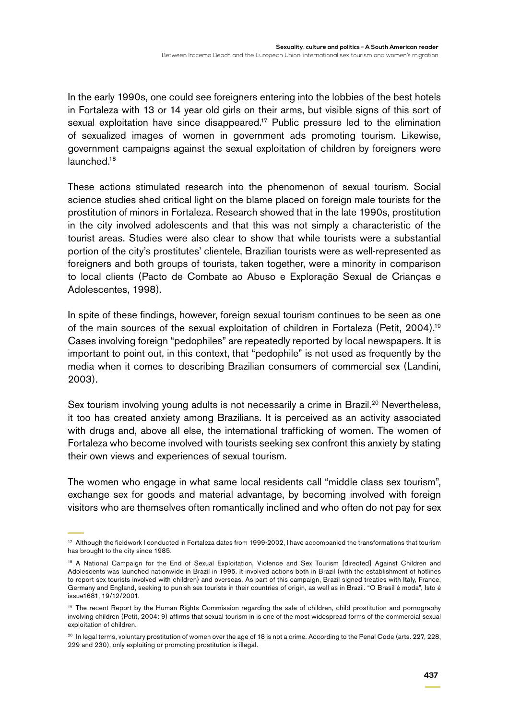In the early 1990s, one could see foreigners entering into the lobbies of the best hotels in Fortaleza with 13 or 14 year old girls on their arms, but visible signs of this sort of sexual exploitation have since disappeared.<sup>17</sup> Public pressure led to the elimination of sexualized images of women in government ads promoting tourism. Likewise, government campaigns against the sexual exploitation of children by foreigners were launched.18

These actions stimulated research into the phenomenon of sexual tourism. Social science studies shed critical light on the blame placed on foreign male tourists for the prostitution of minors in Fortaleza. Research showed that in the late 1990s, prostitution in the city involved adolescents and that this was not simply a characteristic of the tourist areas. Studies were also clear to show that while tourists were a substantial portion of the city's prostitutes' clientele, Brazilian tourists were as well-represented as foreigners and both groups of tourists, taken together, were a minority in comparison to local clients (Pacto de Combate ao Abuso e Exploração Sexual de Crianças e Adolescentes, 1998).

In spite of these findings, however, foreign sexual tourism continues to be seen as one of the main sources of the sexual exploitation of children in Fortaleza (Petit, 2004).19 Cases involving foreign "pedophiles" are repeatedly reported by local newspapers. It is important to point out, in this context, that "pedophile" is not used as frequently by the media when it comes to describing Brazilian consumers of commercial sex (Landini, 2003).

Sex tourism involving young adults is not necessarily a crime in Brazil.<sup>20</sup> Nevertheless, it too has created anxiety among Brazilians. It is perceived as an activity associated with drugs and, above all else, the international trafficking of women. The women of Fortaleza who become involved with tourists seeking sex confront this anxiety by stating their own views and experiences of sexual tourism.

The women who engage in what same local residents call "middle class sex tourism", exchange sex for goods and material advantage, by becoming involved with foreign visitors who are themselves often romantically inclined and who often do not pay for sex

<sup>&</sup>lt;sup>17</sup> Although the fieldwork I conducted in Fortaleza dates from 1999-2002, I have accompanied the transformations that tourism has brought to the city since 1985.

<sup>18</sup> A National Campaign for the End of Sexual Exploitation, Violence and Sex Tourism [directed] Against Children and Adolescents was launched nationwide in Brazil in 1995. It involved actions both in Brazil (with the establishment of hotlines to report sex tourists involved with children) and overseas. As part of this campaign, Brazil signed treaties with Italy, France, Germany and England, seeking to punish sex tourists in their countries of origin, as well as in Brazil. "O Brasil é moda", Isto é issue1681, 19/12/2001.

<sup>&</sup>lt;sup>19</sup> The recent Report by the Human Rights Commission regarding the sale of children, child prostitution and pornography involving children (Petit, 2004: 9) affirms that sexual tourism in is one of the most widespread forms of the commercial sexual exploitation of children.

<sup>&</sup>lt;sup>20</sup> In legal terms, voluntary prostitution of women over the age of 18 is not a crime. According to the Penal Code (arts. 227, 228, 229 and 230), only exploiting or promoting prostitution is illegal.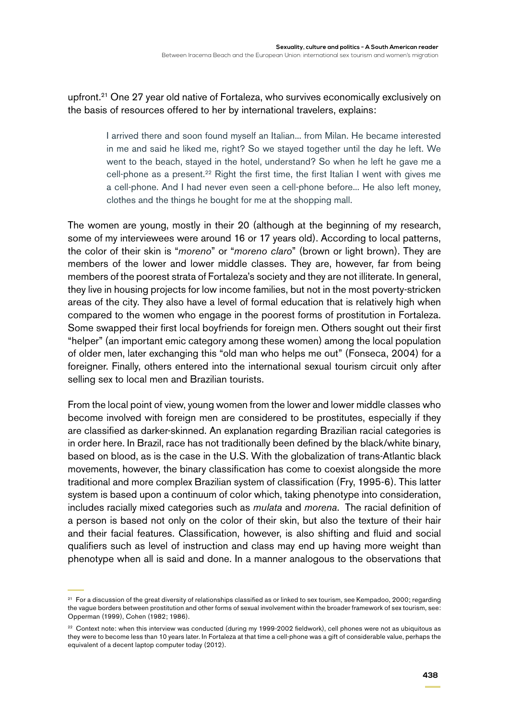upfront.<sup>21</sup> One 27 year old native of Fortaleza, who survives economically exclusively on the basis of resources offered to her by international travelers, explains:

> I arrived there and soon found myself an Italian... from Milan. He became interested in me and said he liked me, right? So we stayed together until the day he left. We went to the beach, stayed in the hotel, understand? So when he left he gave me a cell-phone as a present.<sup>22</sup> Right the first time, the first Italian I went with gives me a cell-phone. And I had never even seen a cell-phone before... He also left money, clothes and the things he bought for me at the shopping mall.

The women are young, mostly in their 20 (although at the beginning of my research, some of my interviewees were around 16 or 17 years old). According to local patterns, the color of their skin is "*moreno*" or "*moreno claro*" (brown or light brown). They are members of the lower and lower middle classes. They are, however, far from being members of the poorest strata of Fortaleza's society and they are not illiterate. In general, they live in housing projects for low income families, but not in the most poverty-stricken areas of the city. They also have a level of formal education that is relatively high when compared to the women who engage in the poorest forms of prostitution in Fortaleza. Some swapped their first local boyfriends for foreign men. Others sought out their first "helper" (an important emic category among these women) among the local population of older men, later exchanging this "old man who helps me out" (Fonseca, 2004) for a foreigner. Finally, others entered into the international sexual tourism circuit only after selling sex to local men and Brazilian tourists.

From the local point of view, young women from the lower and lower middle classes who become involved with foreign men are considered to be prostitutes, especially if they are classified as darker-skinned. An explanation regarding Brazilian racial categories is in order here. In Brazil, race has not traditionally been defined by the black/white binary, based on blood, as is the case in the U.S. With the globalization of trans-Atlantic black movements, however, the binary classification has come to coexist alongside the more traditional and more complex Brazilian system of classification (Fry, 1995-6). This latter system is based upon a continuum of color which, taking phenotype into consideration, includes racially mixed categories such as *mulata* and *morena*. The racial definition of a person is based not only on the color of their skin, but also the texture of their hair and their facial features. Classification, however, is also shifting and fluid and social qualifiers such as level of instruction and class may end up having more weight than phenotype when all is said and done. In a manner analogous to the observations that

<sup>&</sup>lt;sup>21</sup> For a discussion of the great diversity of relationships classified as or linked to sex tourism, see Kempadoo, 2000; regarding the vague borders between prostitution and other forms of sexual involvement within the broader framework of sex tourism, see: Opperman (1999), Cohen (1982; 1986).

<sup>&</sup>lt;sup>22</sup> Context note: when this interview was conducted (during my 1999-2002 fieldwork), cell phones were not as ubiquitous as they were to become less than 10 years later. In Fortaleza at that time a cell-phone was a gift of considerable value, perhaps the equivalent of a decent laptop computer today (2012).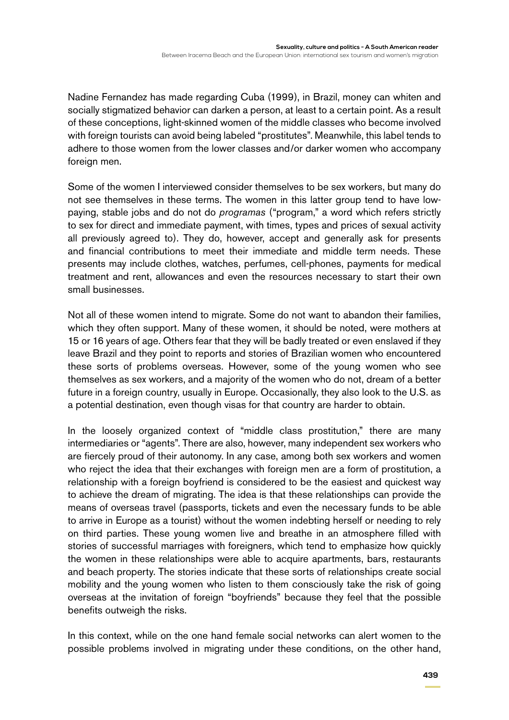Nadine Fernandez has made regarding Cuba (1999), in Brazil, money can whiten and socially stigmatized behavior can darken a person, at least to a certain point. As a result of these conceptions, light-skinned women of the middle classes who become involved with foreign tourists can avoid being labeled "prostitutes". Meanwhile, this label tends to adhere to those women from the lower classes and/or darker women who accompany foreign men.

Some of the women I interviewed consider themselves to be sex workers, but many do not see themselves in these terms. The women in this latter group tend to have lowpaying, stable jobs and do not do *programas* ("program," a word which refers strictly to sex for direct and immediate payment, with times, types and prices of sexual activity all previously agreed to). They do, however, accept and generally ask for presents and financial contributions to meet their immediate and middle term needs. These presents may include clothes, watches, perfumes, cell-phones, payments for medical treatment and rent, allowances and even the resources necessary to start their own small businesses.

Not all of these women intend to migrate. Some do not want to abandon their families, which they often support. Many of these women, it should be noted, were mothers at 15 or 16 years of age. Others fear that they will be badly treated or even enslaved if they leave Brazil and they point to reports and stories of Brazilian women who encountered these sorts of problems overseas. However, some of the young women who see themselves as sex workers, and a majority of the women who do not, dream of a better future in a foreign country, usually in Europe. Occasionally, they also look to the U.S. as a potential destination, even though visas for that country are harder to obtain.

In the loosely organized context of "middle class prostitution," there are many intermediaries or "agents". There are also, however, many independent sex workers who are fiercely proud of their autonomy. In any case, among both sex workers and women who reject the idea that their exchanges with foreign men are a form of prostitution, a relationship with a foreign boyfriend is considered to be the easiest and quickest way to achieve the dream of migrating. The idea is that these relationships can provide the means of overseas travel (passports, tickets and even the necessary funds to be able to arrive in Europe as a tourist) without the women indebting herself or needing to rely on third parties. These young women live and breathe in an atmosphere filled with stories of successful marriages with foreigners, which tend to emphasize how quickly the women in these relationships were able to acquire apartments, bars, restaurants and beach property. The stories indicate that these sorts of relationships create social mobility and the young women who listen to them consciously take the risk of going overseas at the invitation of foreign "boyfriends" because they feel that the possible benefits outweigh the risks.

In this context, while on the one hand female social networks can alert women to the possible problems involved in migrating under these conditions, on the other hand,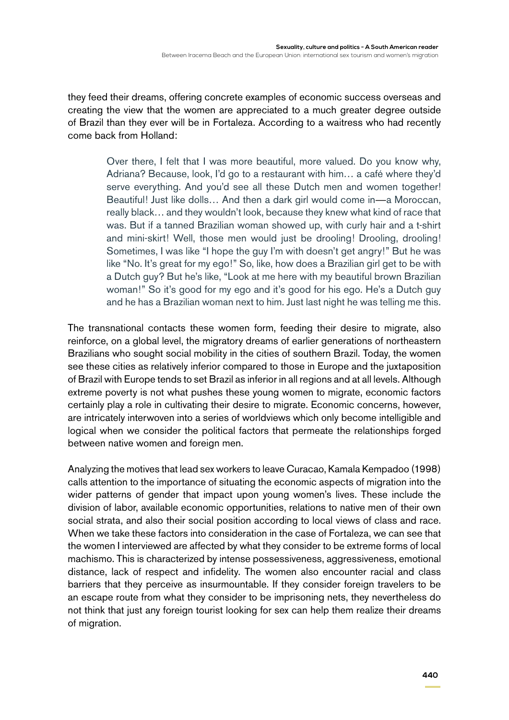they feed their dreams, offering concrete examples of economic success overseas and creating the view that the women are appreciated to a much greater degree outside of Brazil than they ever will be in Fortaleza. According to a waitress who had recently come back from Holland:

> Over there, I felt that I was more beautiful, more valued. Do you know why, Adriana? Because, look, I'd go to a restaurant with him… a café where they'd serve everything. And you'd see all these Dutch men and women together! Beautiful! Just like dolls… And then a dark girl would come in—a Moroccan, really black… and they wouldn't look, because they knew what kind of race that was. But if a tanned Brazilian woman showed up, with curly hair and a t-shirt and mini-skirt! Well, those men would just be drooling! Drooling, drooling! Sometimes, I was like "I hope the guy I'm with doesn't get angry!" But he was like "No. It's great for my ego!" So, like, how does a Brazilian girl get to be with a Dutch guy? But he's like, "Look at me here with my beautiful brown Brazilian woman!" So it's good for my ego and it's good for his ego. He's a Dutch guy and he has a Brazilian woman next to him. Just last night he was telling me this.

The transnational contacts these women form, feeding their desire to migrate, also reinforce, on a global level, the migratory dreams of earlier generations of northeastern Brazilians who sought social mobility in the cities of southern Brazil. Today, the women see these cities as relatively inferior compared to those in Europe and the juxtaposition of Brazil with Europe tends to set Brazil as inferior in all regions and at all levels. Although extreme poverty is not what pushes these young women to migrate, economic factors certainly play a role in cultivating their desire to migrate. Economic concerns, however, are intricately interwoven into a series of worldviews which only become intelligible and logical when we consider the political factors that permeate the relationships forged between native women and foreign men.

Analyzing the motives that lead sex workers to leave Curacao, Kamala Kempadoo (1998) calls attention to the importance of situating the economic aspects of migration into the wider patterns of gender that impact upon young women's lives. These include the division of labor, available economic opportunities, relations to native men of their own social strata, and also their social position according to local views of class and race. When we take these factors into consideration in the case of Fortaleza, we can see that the women I interviewed are affected by what they consider to be extreme forms of local machismo. This is characterized by intense possessiveness, aggressiveness, emotional distance, lack of respect and infidelity. The women also encounter racial and class barriers that they perceive as insurmountable. If they consider foreign travelers to be an escape route from what they consider to be imprisoning nets, they nevertheless do not think that just any foreign tourist looking for sex can help them realize their dreams of migration.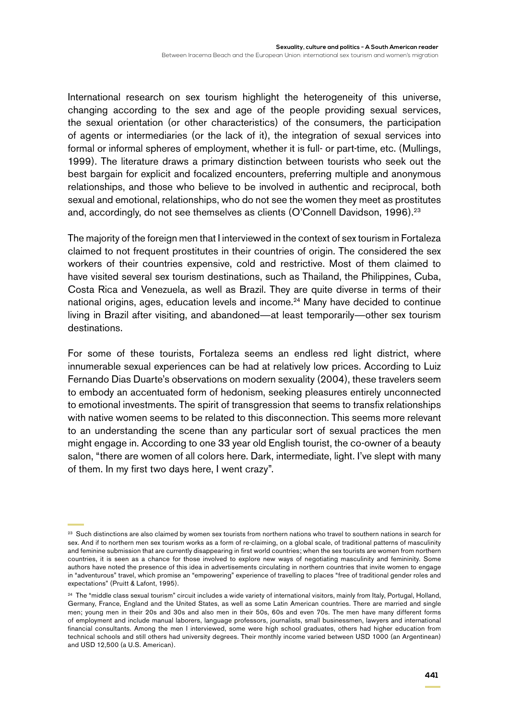International research on sex tourism highlight the heterogeneity of this universe, changing according to the sex and age of the people providing sexual services, the sexual orientation (or other characteristics) of the consumers, the participation of agents or intermediaries (or the lack of it), the integration of sexual services into formal or informal spheres of employment, whether it is full- or part-time, etc. (Mullings, 1999). The literature draws a primary distinction between tourists who seek out the best bargain for explicit and focalized encounters, preferring multiple and anonymous relationships, and those who believe to be involved in authentic and reciprocal, both sexual and emotional, relationships, who do not see the women they meet as prostitutes and, accordingly, do not see themselves as clients (O'Connell Davidson, 1996).<sup>23</sup>

The majority of the foreign men that I interviewed in the context of sex tourism in Fortaleza claimed to not frequent prostitutes in their countries of origin. The considered the sex workers of their countries expensive, cold and restrictive. Most of them claimed to have visited several sex tourism destinations, such as Thailand, the Philippines, Cuba, Costa Rica and Venezuela, as well as Brazil. They are quite diverse in terms of their national origins, ages, education levels and income.<sup>24</sup> Many have decided to continue living in Brazil after visiting, and abandoned—at least temporarily—other sex tourism destinations.

For some of these tourists, Fortaleza seems an endless red light district, where innumerable sexual experiences can be had at relatively low prices. According to Luiz Fernando Dias Duarte's observations on modern sexuality (2004), these travelers seem to embody an accentuated form of hedonism, seeking pleasures entirely unconnected to emotional investments. The spirit of transgression that seems to transfix relationships with native women seems to be related to this disconnection. This seems more relevant to an understanding the scene than any particular sort of sexual practices the men might engage in. According to one 33 year old English tourist, the co-owner of a beauty salon, "there are women of all colors here. Dark, intermediate, light. I've slept with many of them. In my first two days here, I went crazy".

<sup>&</sup>lt;sup>23</sup> Such distinctions are also claimed by women sex tourists from northern nations who travel to southern nations in search for sex. And if to northern men sex tourism works as a form of re-claiming, on a global scale, of traditional patterns of masculinity and feminine submission that are currently disappearing in first world countries; when the sex tourists are women from northern countries, it is seen as a chance for those involved to explore new ways of negotiating masculinity and femininity. Some authors have noted the presence of this idea in advertisements circulating in northern countries that invite women to engage in "adventurous" travel, which promise an "empowering" experience of travelling to places "free of traditional gender roles and expectations" (Pruitt & Lafont, 1995).

<sup>&</sup>lt;sup>24</sup> The "middle class sexual tourism" circuit includes a wide variety of international visitors, mainly from Italy, Portugal, Holland, Germany, France, England and the United States, as well as some Latin American countries. There are married and single men; young men in their 20s and 30s and also men in their 50s, 60s and even 70s. The men have many different forms of employment and include manual laborers, language professors, journalists, small businessmen, lawyers and international financial consultants. Among the men I interviewed, some were high school graduates, others had higher education from technical schools and still others had university degrees. Their monthly income varied between USD 1000 (an Argentinean) and USD 12,500 (a U.S. American).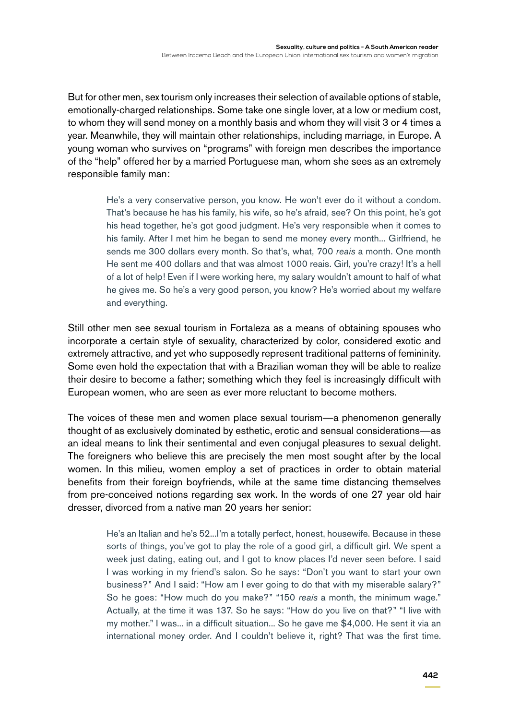But for other men, sex tourism only increases their selection of available options of stable, emotionally-charged relationships. Some take one single lover, at a low or medium cost, to whom they will send money on a monthly basis and whom they will visit 3 or 4 times a year. Meanwhile, they will maintain other relationships, including marriage, in Europe. A young woman who survives on "programs" with foreign men describes the importance of the "help" offered her by a married Portuguese man, whom she sees as an extremely responsible family man:

> He's a very conservative person, you know. He won't ever do it without a condom. That's because he has his family, his wife, so he's afraid, see? On this point, he's got his head together, he's got good judgment. He's very responsible when it comes to his family. After I met him he began to send me money every month... Girlfriend, he sends me 300 dollars every month. So that's, what, 700 *reais* a month. One month He sent me 400 dollars and that was almost 1000 reais. Girl, you're crazy! It's a hell of a lot of help! Even if I were working here, my salary wouldn't amount to half of what he gives me. So he's a very good person, you know? He's worried about my welfare and everything.

Still other men see sexual tourism in Fortaleza as a means of obtaining spouses who incorporate a certain style of sexuality, characterized by color, considered exotic and extremely attractive, and yet who supposedly represent traditional patterns of femininity. Some even hold the expectation that with a Brazilian woman they will be able to realize their desire to become a father; something which they feel is increasingly difficult with European women, who are seen as ever more reluctant to become mothers.

The voices of these men and women place sexual tourism—a phenomenon generally thought of as exclusively dominated by esthetic, erotic and sensual considerations—as an ideal means to link their sentimental and even conjugal pleasures to sexual delight. The foreigners who believe this are precisely the men most sought after by the local women. In this milieu, women employ a set of practices in order to obtain material benefits from their foreign boyfriends, while at the same time distancing themselves from pre-conceived notions regarding sex work. In the words of one 27 year old hair dresser, divorced from a native man 20 years her senior:

> He's an Italian and he's 52...I'm a totally perfect, honest, housewife. Because in these sorts of things, you've got to play the role of a good girl, a difficult girl. We spent a week just dating, eating out, and I got to know places I'd never seen before. I said I was working in my friend's salon. So he says: "Don't you want to start your own business?" And I said: "How am I ever going to do that with my miserable salary?" So he goes: "How much do you make?" "150 *reais* a month, the minimum wage." Actually, at the time it was 137. So he says: "How do you live on that?" "I live with my mother." I was... in a difficult situation... So he gave me \$4,000. He sent it via an international money order. And I couldn't believe it, right? That was the first time.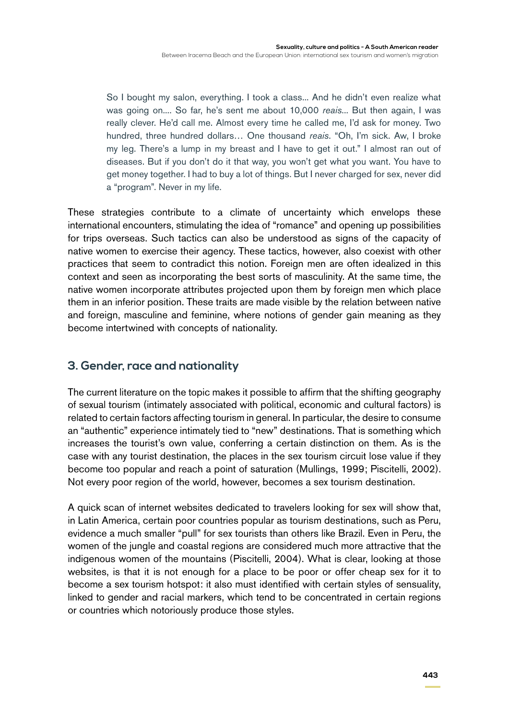So I bought my salon, everything. I took a class... And he didn't even realize what was going on.... So far, he's sent me about 10,000 *reais*... But then again, I was really clever. He'd call me. Almost every time he called me, I'd ask for money. Two hundred, three hundred dollars… One thousand *reais*. "Oh, I'm sick. Aw, I broke my leg. There's a lump in my breast and I have to get it out." I almost ran out of diseases. But if you don't do it that way, you won't get what you want. You have to get money together. I had to buy a lot of things. But I never charged for sex, never did a "program". Never in my life.

These strategies contribute to a climate of uncertainty which envelops these international encounters, stimulating the idea of "romance" and opening up possibilities for trips overseas. Such tactics can also be understood as signs of the capacity of native women to exercise their agency. These tactics, however, also coexist with other practices that seem to contradict this notion. Foreign men are often idealized in this context and seen as incorporating the best sorts of masculinity. At the same time, the native women incorporate attributes projected upon them by foreign men which place them in an inferior position. These traits are made visible by the relation between native and foreign, masculine and feminine, where notions of gender gain meaning as they become intertwined with concepts of nationality.

### **3. Gender, race and nationality**

The current literature on the topic makes it possible to affirm that the shifting geography of sexual tourism (intimately associated with political, economic and cultural factors) is related to certain factors affecting tourism in general. In particular, the desire to consume an "authentic" experience intimately tied to "new" destinations. That is something which increases the tourist's own value, conferring a certain distinction on them. As is the case with any tourist destination, the places in the sex tourism circuit lose value if they become too popular and reach a point of saturation (Mullings, 1999; Piscitelli, 2002). Not every poor region of the world, however, becomes a sex tourism destination.

A quick scan of internet websites dedicated to travelers looking for sex will show that, in Latin America, certain poor countries popular as tourism destinations, such as Peru, evidence a much smaller "pull" for sex tourists than others like Brazil. Even in Peru, the women of the jungle and coastal regions are considered much more attractive that the indigenous women of the mountains (Piscitelli, 2004). What is clear, looking at those websites, is that it is not enough for a place to be poor or offer cheap sex for it to become a sex tourism hotspot: it also must identified with certain styles of sensuality, linked to gender and racial markers, which tend to be concentrated in certain regions or countries which notoriously produce those styles.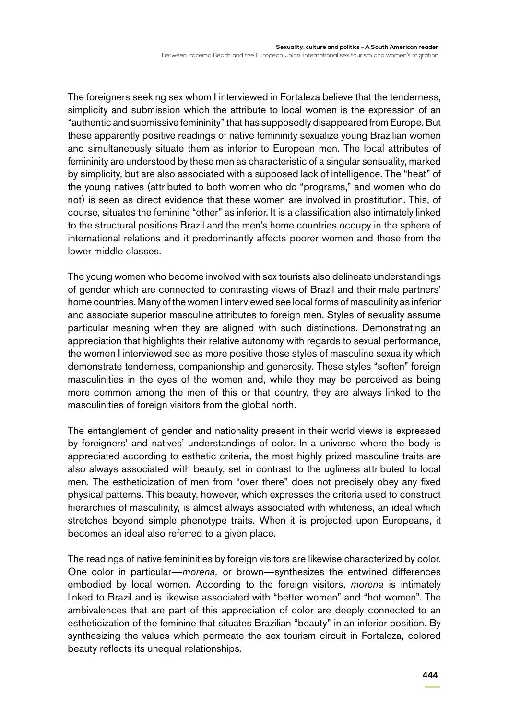The foreigners seeking sex whom I interviewed in Fortaleza believe that the tenderness, simplicity and submission which the attribute to local women is the expression of an "authentic and submissive femininity" that has supposedly disappeared from Europe. But these apparently positive readings of native femininity sexualize young Brazilian women and simultaneously situate them as inferior to European men. The local attributes of femininity are understood by these men as characteristic of a singular sensuality, marked by simplicity, but are also associated with a supposed lack of intelligence. The "heat" of the young natives (attributed to both women who do "programs," and women who do not) is seen as direct evidence that these women are involved in prostitution. This, of course, situates the feminine "other" as inferior. It is a classification also intimately linked to the structural positions Brazil and the men's home countries occupy in the sphere of international relations and it predominantly affects poorer women and those from the lower middle classes.

The young women who become involved with sex tourists also delineate understandings of gender which are connected to contrasting views of Brazil and their male partners' home countries. Many of the women I interviewed see local forms of masculinity as inferior and associate superior masculine attributes to foreign men. Styles of sexuality assume particular meaning when they are aligned with such distinctions. Demonstrating an appreciation that highlights their relative autonomy with regards to sexual performance, the women I interviewed see as more positive those styles of masculine sexuality which demonstrate tenderness, companionship and generosity. These styles "soften" foreign masculinities in the eyes of the women and, while they may be perceived as being more common among the men of this or that country, they are always linked to the masculinities of foreign visitors from the global north.

The entanglement of gender and nationality present in their world views is expressed by foreigners' and natives' understandings of color. In a universe where the body is appreciated according to esthetic criteria, the most highly prized masculine traits are also always associated with beauty, set in contrast to the ugliness attributed to local men. The estheticization of men from "over there" does not precisely obey any fixed physical patterns. This beauty, however, which expresses the criteria used to construct hierarchies of masculinity, is almost always associated with whiteness, an ideal which stretches beyond simple phenotype traits. When it is projected upon Europeans, it becomes an ideal also referred to a given place.

The readings of native femininities by foreign visitors are likewise characterized by color. One color in particular—*morena,* or brown—synthesizes the entwined differences embodied by local women. According to the foreign visitors, *morena* is intimately linked to Brazil and is likewise associated with "better women" and "hot women". The ambivalences that are part of this appreciation of color are deeply connected to an estheticization of the feminine that situates Brazilian "beauty" in an inferior position. By synthesizing the values which permeate the sex tourism circuit in Fortaleza, colored beauty reflects its unequal relationships.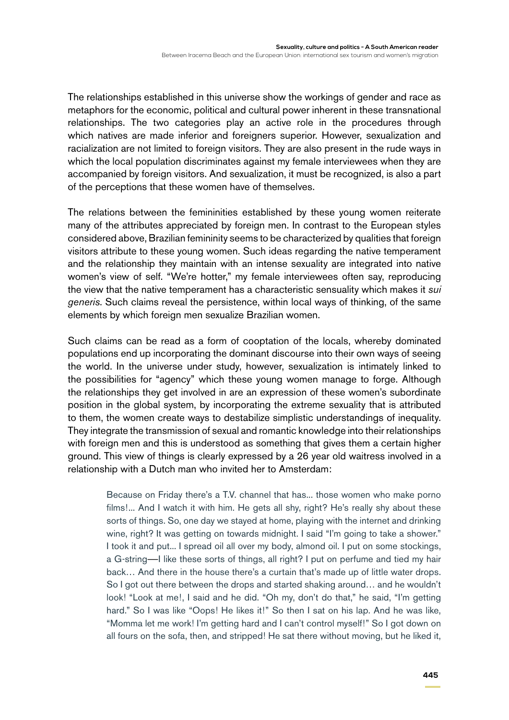The relationships established in this universe show the workings of gender and race as metaphors for the economic, political and cultural power inherent in these transnational relationships. The two categories play an active role in the procedures through which natives are made inferior and foreigners superior. However, sexualization and racialization are not limited to foreign visitors. They are also present in the rude ways in which the local population discriminates against my female interviewees when they are accompanied by foreign visitors. And sexualization, it must be recognized, is also a part of the perceptions that these women have of themselves.

The relations between the femininities established by these young women reiterate many of the attributes appreciated by foreign men. In contrast to the European styles considered above, Brazilian femininity seems to be characterized by qualities that foreign visitors attribute to these young women. Such ideas regarding the native temperament and the relationship they maintain with an intense sexuality are integrated into native women's view of self. "We're hotter," my female interviewees often say, reproducing the view that the native temperament has a characteristic sensuality which makes it *sui generis*. Such claims reveal the persistence, within local ways of thinking, of the same elements by which foreign men sexualize Brazilian women.

Such claims can be read as a form of cooptation of the locals, whereby dominated populations end up incorporating the dominant discourse into their own ways of seeing the world. In the universe under study, however, sexualization is intimately linked to the possibilities for "agency" which these young women manage to forge. Although the relationships they get involved in are an expression of these women's subordinate position in the global system, by incorporating the extreme sexuality that is attributed to them, the women create ways to destabilize simplistic understandings of inequality. They integrate the transmission of sexual and romantic knowledge into their relationships with foreign men and this is understood as something that gives them a certain higher ground. This view of things is clearly expressed by a 26 year old waitress involved in a relationship with a Dutch man who invited her to Amsterdam:

Because on Friday there's a T.V. channel that has... those women who make porno films!... And I watch it with him. He gets all shy, right? He's really shy about these sorts of things. So, one day we stayed at home, playing with the internet and drinking wine, right? It was getting on towards midnight. I said "I'm going to take a shower." I took it and put... I spread oil all over my body, almond oil. I put on some stockings, a G-string—I like these sorts of things, all right? I put on perfume and tied my hair back… And there in the house there's a curtain that's made up of little water drops. So I got out there between the drops and started shaking around… and he wouldn't look! "Look at me!, I said and he did. "Oh my, don't do that," he said, "I'm getting hard." So I was like "Oops! He likes it!" So then I sat on his lap. And he was like, "Momma let me work! I'm getting hard and I can't control myself!" So I got down on all fours on the sofa, then, and stripped! He sat there without moving, but he liked it,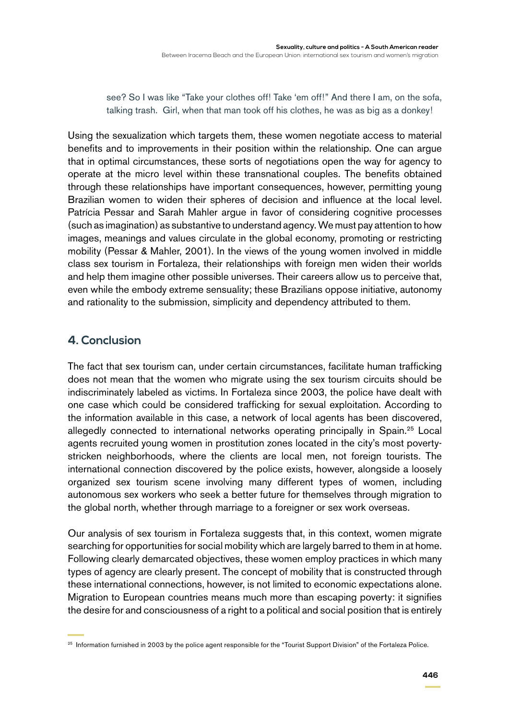see? So I was like "Take your clothes off! Take 'em off!" And there I am, on the sofa, talking trash. Girl, when that man took off his clothes, he was as big as a donkey!

Using the sexualization which targets them, these women negotiate access to material benefits and to improvements in their position within the relationship. One can argue that in optimal circumstances, these sorts of negotiations open the way for agency to operate at the micro level within these transnational couples. The benefits obtained through these relationships have important consequences, however, permitting young Brazilian women to widen their spheres of decision and influence at the local level. Patrícia Pessar and Sarah Mahler argue in favor of considering cognitive processes (such as imagination) as substantive to understand agency. We must pay attention to how images, meanings and values circulate in the global economy, promoting or restricting mobility (Pessar & Mahler, 2001). In the views of the young women involved in middle class sex tourism in Fortaleza, their relationships with foreign men widen their worlds and help them imagine other possible universes. Their careers allow us to perceive that, even while the embody extreme sensuality; these Brazilians oppose initiative, autonomy and rationality to the submission, simplicity and dependency attributed to them.

### **4. Conclusion**

The fact that sex tourism can, under certain circumstances, facilitate human trafficking does not mean that the women who migrate using the sex tourism circuits should be indiscriminately labeled as victims. In Fortaleza since 2003, the police have dealt with one case which could be considered trafficking for sexual exploitation. According to the information available in this case, a network of local agents has been discovered, allegedly connected to international networks operating principally in Spain.25 Local agents recruited young women in prostitution zones located in the city's most povertystricken neighborhoods, where the clients are local men, not foreign tourists. The international connection discovered by the police exists, however, alongside a loosely organized sex tourism scene involving many different types of women, including autonomous sex workers who seek a better future for themselves through migration to the global north, whether through marriage to a foreigner or sex work overseas.

Our analysis of sex tourism in Fortaleza suggests that, in this context, women migrate searching for opportunities for social mobility which are largely barred to them in at home. Following clearly demarcated objectives, these women employ practices in which many types of agency are clearly present. The concept of mobility that is constructed through these international connections, however, is not limited to economic expectations alone. Migration to European countries means much more than escaping poverty: it signifies the desire for and consciousness of a right to a political and social position that is entirely

<sup>&</sup>lt;sup>25</sup> Information furnished in 2003 by the police agent responsible for the "Tourist Support Division" of the Fortaleza Police.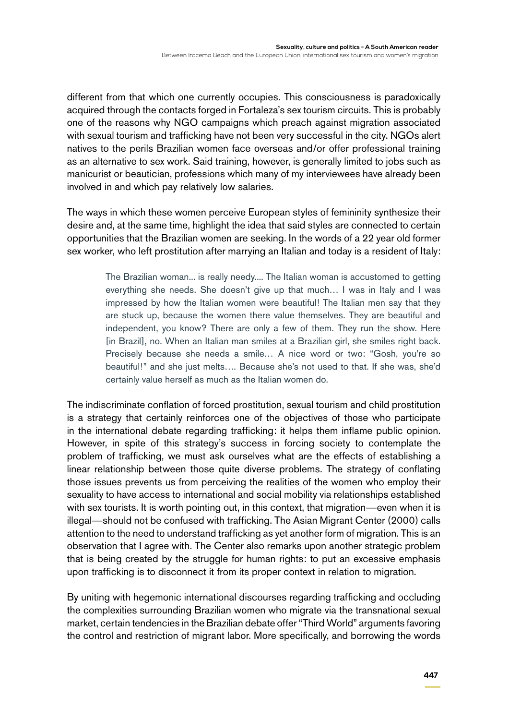different from that which one currently occupies. This consciousness is paradoxically acquired through the contacts forged in Fortaleza's sex tourism circuits. This is probably one of the reasons why NGO campaigns which preach against migration associated with sexual tourism and trafficking have not been very successful in the city. NGOs alert natives to the perils Brazilian women face overseas and/or offer professional training as an alternative to sex work. Said training, however, is generally limited to jobs such as manicurist or beautician, professions which many of my interviewees have already been involved in and which pay relatively low salaries.

The ways in which these women perceive European styles of femininity synthesize their desire and, at the same time, highlight the idea that said styles are connected to certain opportunities that the Brazilian women are seeking. In the words of a 22 year old former sex worker, who left prostitution after marrying an Italian and today is a resident of Italy:

> The Brazilian woman... is really needy.... The Italian woman is accustomed to getting everything she needs. She doesn't give up that much… I was in Italy and I was impressed by how the Italian women were beautiful! The Italian men say that they are stuck up, because the women there value themselves. They are beautiful and independent, you know? There are only a few of them. They run the show. Here [in Brazil], no. When an Italian man smiles at a Brazilian girl, she smiles right back. Precisely because she needs a smile… A nice word or two: "Gosh, you're so beautiful!" and she just melts…. Because she's not used to that. If she was, she'd certainly value herself as much as the Italian women do.

The indiscriminate conflation of forced prostitution, sexual tourism and child prostitution is a strategy that certainly reinforces one of the objectives of those who participate in the international debate regarding trafficking: it helps them inflame public opinion. However, in spite of this strategy's success in forcing society to contemplate the problem of trafficking, we must ask ourselves what are the effects of establishing a linear relationship between those quite diverse problems. The strategy of conflating those issues prevents us from perceiving the realities of the women who employ their sexuality to have access to international and social mobility via relationships established with sex tourists. It is worth pointing out, in this context, that migration—even when it is illegal—should not be confused with trafficking. The Asian Migrant Center (2000) calls attention to the need to understand trafficking as yet another form of migration. This is an observation that I agree with. The Center also remarks upon another strategic problem that is being created by the struggle for human rights: to put an excessive emphasis upon trafficking is to disconnect it from its proper context in relation to migration.

By uniting with hegemonic international discourses regarding trafficking and occluding the complexities surrounding Brazilian women who migrate via the transnational sexual market, certain tendencies in the Brazilian debate offer "Third World" arguments favoring the control and restriction of migrant labor. More specifically, and borrowing the words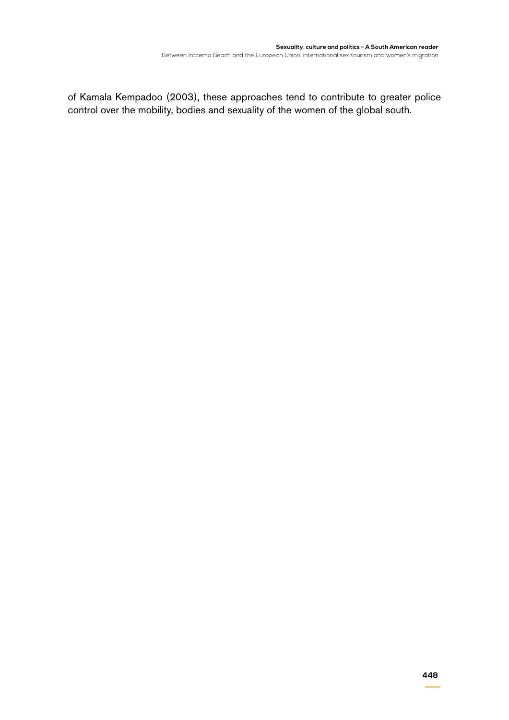of Kamala Kempadoo (2003), these approaches tend to contribute to greater police control over the mobility, bodies and sexuality of the women of the global south.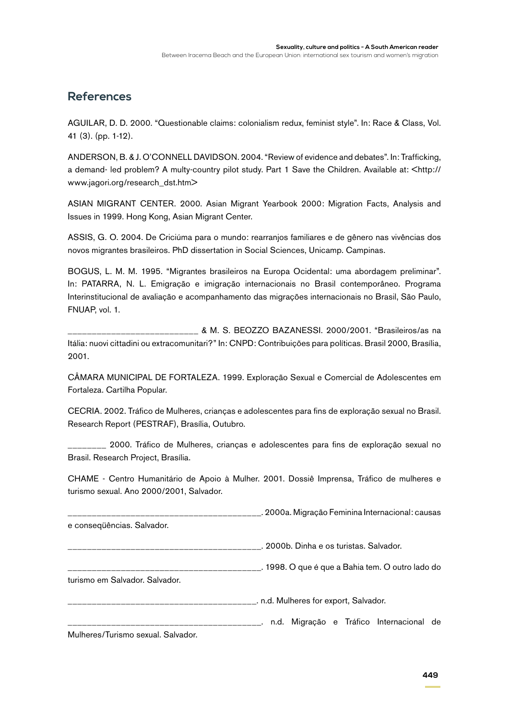#### **References**

AGUILAR, D. D. 2000. "Questionable claims: colonialism redux, feminist style". In: Race & Class, Vol. 41 (3). (pp. 1-12).

ANDERSON, B. & J. O'CONNELL DAVIDSON. 2004. "Review of evidence and debates". In: Trafficking, a demand- led problem? A multy-country pilot study. Part 1 Save the Children. Available at: <http:// www.jagori.org/research\_dst.htm>

ASIAN MIGRANT CENTER. 2000. Asian Migrant Yearbook 2000: Migration Facts, Analysis and Issues in 1999. Hong Kong, Asian Migrant Center.

ASSIS, G. O. 2004. De Criciúma para o mundo: rearranjos familiares e de gênero nas vivências dos novos migrantes brasileiros. PhD dissertation in Social Sciences, Unicamp. Campinas.

BOGUS, L. M. M. 1995. "Migrantes brasileiros na Europa Ocidental: uma abordagem preliminar". In: PATARRA, N. L. Emigração e imigração internacionais no Brasil contemporâneo. Programa Interinstitucional de avaliação e acompanhamento das migrações internacionais no Brasil, São Paulo, FNUAP, vol. 1.

\_\_\_\_\_\_\_\_\_\_\_\_\_\_\_\_\_\_\_\_\_\_\_\_\_\_\_ & M. S. BEOZZO BAZANESSI. 2000/2001. "Brasileiros/as na Itália: nuovi cittadini ou extracomunitari?" In: CNPD: Contribuições para políticas. Brasil 2000, Brasília, 2001.

CÂMARA MUNICIPAL DE FORTALEZA. 1999. Exploração Sexual e Comercial de Adolescentes em Fortaleza. Cartilha Popular.

CECRIA. 2002. Tráfico de Mulheres, crianças e adolescentes para fins de exploração sexual no Brasil. Research Report (PESTRAF), Brasília, Outubro.

\_\_\_\_\_\_\_\_ 2000. Tráfico de Mulheres, crianças e adolescentes para fins de exploração sexual no Brasil. Research Project, Brasília.

CHAME - Centro Humanitário de Apoio à Mulher. 2001. Dossiê Imprensa, Tráfico de mulheres e turismo sexual. Ano 2000/2001, Salvador.

\_\_\_\_\_\_\_\_\_\_\_\_\_\_\_\_\_\_\_\_\_\_\_\_\_\_\_\_\_\_\_\_\_\_\_\_\_\_\_\_. 2000a. Migração Feminina Internacional: causas e conseqüências. Salvador.

\_\_\_\_\_\_\_\_\_\_\_\_\_\_\_\_\_\_\_\_\_\_\_\_\_\_\_\_\_\_\_\_\_\_\_\_\_\_\_\_. 2000b. Dinha e os turistas. Salvador.

\_\_\_\_\_\_\_\_\_\_\_\_\_\_\_\_\_\_\_\_\_\_\_\_\_\_\_\_\_\_\_\_\_\_\_\_\_\_\_\_. 1998. O que é que a Bahia tem. O outro lado do turismo em Salvador. Salvador.

\_\_\_\_\_\_\_\_\_\_\_\_\_\_\_\_\_\_\_\_\_\_\_\_\_\_\_\_\_\_\_\_\_\_\_\_\_\_\_. n.d. Mulheres for export, Salvador.

\_\_\_\_\_\_\_\_\_\_\_\_\_\_\_\_\_\_\_\_\_\_\_\_\_\_\_\_\_\_\_\_\_\_\_\_\_\_\_\_. n.d. Migração e Tráfico Internacional de

Mulheres/Turismo sexual. Salvador.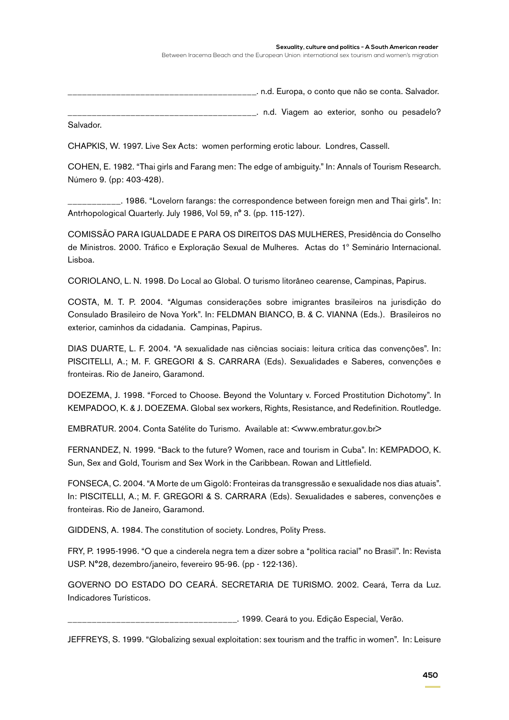#### **Sexuality, culture and politics - A South American reader**

Between Iracema Beach and the European Union: international sex tourism and women's migration

\_\_\_\_\_\_\_. n.d. Europa, o conto que não se conta. Salvador.

\_\_\_\_\_\_\_\_\_\_\_\_\_\_\_\_\_\_\_\_\_\_\_\_\_\_\_\_\_\_\_\_\_\_\_\_\_\_\_. n.d. Viagem ao exterior, sonho ou pesadelo?

Salvador.

CHAPKIS, W. 1997. Live Sex Acts: women performing erotic labour. Londres, Cassell.

COHEN, E. 1982. "Thai girls and Farang men: The edge of ambiguity." In: Annals of Tourism Research. Número 9. (pp: 403-428).

\_\_\_\_\_\_\_\_\_\_\_. 1986. "Lovelorn farangs: the correspondence between foreign men and Thai girls". In: Antrhopological Quarterly. July 1986, Vol 59, n° 3. (pp. 115-127).

COMISSÃO PARA IGUALDADE E PARA OS DIREITOS DAS MULHERES, Presidência do Conselho de Ministros. 2000. Tráfico e Exploração Sexual de Mulheres. Actas do 1º Seminário Internacional. Lisboa.

CORIOLANO, L. N. 1998. Do Local ao Global. O turismo litorâneo cearense, Campinas, Papirus.

COSTA, M. T. P. 2004. "Algumas considerações sobre imigrantes brasileiros na jurisdição do Consulado Brasileiro de Nova York". In: FELDMAN BIANCO, B. & C. VIANNA (Eds.). Brasileiros no exterior, caminhos da cidadania. Campinas, Papirus.

DIAS DUARTE, L. F. 2004. "A sexualidade nas ciências sociais: leitura crítica das convenções". In: PISCITELLI, A.; M. F. GREGORI & S. CARRARA (Eds). Sexualidades e Saberes, convenções e fronteiras. Rio de Janeiro, Garamond.

DOEZEMA, J. 1998. "Forced to Choose. Beyond the Voluntary v. Forced Prostitution Dichotomy". In KEMPADOO, K. & J. DOEZEMA. Global sex workers, Rights, Resistance, and Redefinition. Routledge.

EMBRATUR. 2004. Conta Satélite do Turismo. Available at: <www.embratur.gov.br>

FERNANDEZ, N. 1999. "Back to the future? Women, race and tourism in Cuba". In: KEMPADOO, K. Sun, Sex and Gold, Tourism and Sex Work in the Caribbean. Rowan and Littlefield.

FONSECA, C. 2004. "A Morte de um Gigolô: Fronteiras da transgressão e sexualidade nos dias atuais". In: PISCITELLI, A.; M. F. GREGORI & S. CARRARA (Eds). Sexualidades e saberes, convenções e fronteiras. Rio de Janeiro, Garamond.

GIDDENS, A. 1984. The constitution of society. Londres, Polity Press.

FRY, P. 1995-1996. "O que a cinderela negra tem a dizer sobre a "política racial" no Brasil". In: Revista USP. N°28, dezembro/janeiro, fevereiro 95-96. (pp - 122-136).

GOVERNO DO ESTADO DO CEARÁ. SECRETARIA DE TURISMO. 2002. Ceará, Terra da Luz. Indicadores Turísticos.

\_\_\_\_. 1999. Ceará to you. Edição Especial, Verão.

JEFFREYS, S. 1999. "Globalizing sexual exploitation: sex tourism and the traffic in women". In: Leisure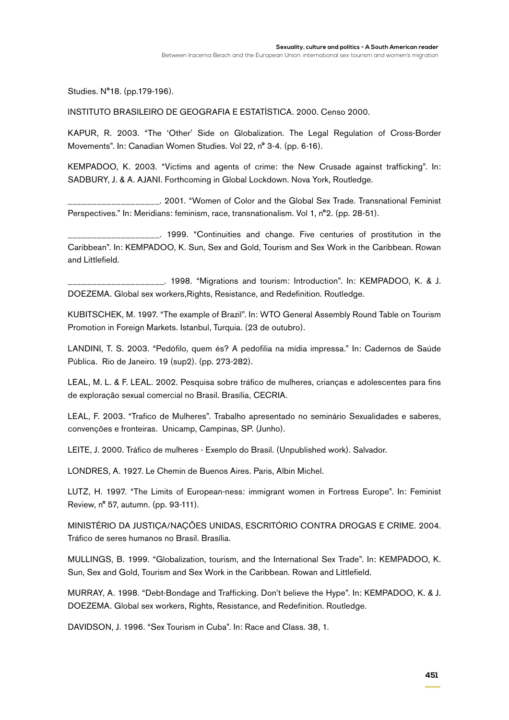Studies. N°18. (pp.179-196).

INSTITUTO BRASILEIRO DE GEOGRAFIA E ESTATÍSTICA. 2000. Censo 2000.

KAPUR, R. 2003. "The 'Other' Side on Globalization. The Legal Regulation of Cross-Border Movements". In: Canadian Women Studies. Vol 22, n° 3-4. (pp. 6-16).

KEMPADOO, K. 2003. "Victims and agents of crime: the New Crusade against trafficking". In: SADBURY, J. & A. AJANI. Forthcoming in Global Lockdown. Nova York, Routledge.

\_\_\_\_\_\_\_\_\_\_\_\_\_\_\_\_\_\_\_. 2001. "Women of Color and the Global Sex Trade. Transnational Feminist Perspectives." In: Meridians: feminism, race, transnationalism. Vol 1, n°2. (pp. 28-51).

\_\_\_\_\_\_\_\_\_\_\_\_\_\_\_\_\_\_\_. 1999. "Continuities and change. Five centuries of prostitution in the Caribbean". In: KEMPADOO, K. Sun, Sex and Gold, Tourism and Sex Work in the Caribbean. Rowan and Littlefield.

\_\_\_\_\_\_\_\_\_\_\_\_\_\_\_\_\_\_\_\_. 1998. "Migrations and tourism: Introduction". In: KEMPADOO, K. & J. DOEZEMA. Global sex workers,Rights, Resistance, and Redefinition. Routledge.

KUBITSCHEK, M. 1997. "The example of Brazil". In: WTO General Assembly Round Table on Tourism Promotion in Foreign Markets. Istanbul, Turquia. (23 de outubro).

LANDINI, T. S. 2003. "Pedófilo, quem és? A pedofilia na mídia impressa." In: Cadernos de Saúde Pública. Rio de Janeiro. 19 (sup2). (pp. 273-282).

LEAL, M. L. & F. LEAL. 2002. Pesquisa sobre tráfico de mulheres, crianças e adolescentes para fins de exploração sexual comercial no Brasil. Brasília, CECRIA.

LEAL, F. 2003. "Trafico de Mulheres". Trabalho apresentado no seminário Sexualidades e saberes, convenções e fronteiras. Unicamp, Campinas, SP. (Junho).

LEITE, J. 2000. Tráfico de mulheres - Exemplo do Brasil. (Unpublished work). Salvador.

LONDRES, A. 1927. Le Chemin de Buenos Aires. Paris, Albin Michel.

LUTZ, H. 1997. "The Limits of European-ness: immigrant women in Fortress Europe". In: Feminist Review, n° 57, autumn. (pp. 93-111).

MINISTÉRIO DA JUSTIÇA/NAÇÕES UNIDAS, ESCRITÓRIO CONTRA DROGAS E CRIME. 2004. Tráfico de seres humanos no Brasil. Brasília.

MULLINGS, B. 1999. "Globalization, tourism, and the International Sex Trade". In: KEMPADOO, K. Sun, Sex and Gold, Tourism and Sex Work in the Caribbean. Rowan and Littlefield.

MURRAY, A. 1998. "Debt-Bondage and Trafficking. Don't believe the Hype". In: KEMPADOO, K. & J. DOEZEMA. Global sex workers, Rights, Resistance, and Redefinition. Routledge.

DAVIDSON, J. 1996. "Sex Tourism in Cuba". In: Race and Class. 38, 1.